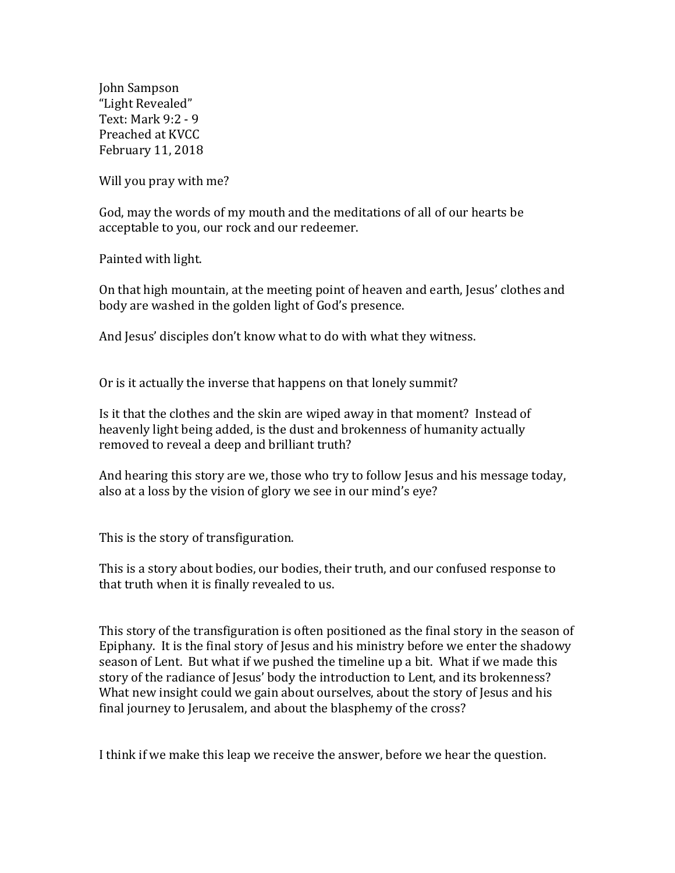John Sampson "Light Revealed" Text: Mark 9:2 - 9 Preached at KVCC February 11, 2018

Will you pray with me?

God, may the words of my mouth and the meditations of all of our hearts be acceptable to you, our rock and our redeemer.

Painted with light.

On that high mountain, at the meeting point of heaven and earth, Jesus' clothes and body are washed in the golden light of God's presence.

And Jesus' disciples don't know what to do with what they witness.

Or is it actually the inverse that happens on that lonely summit?

Is it that the clothes and the skin are wiped away in that moment? Instead of heavenly light being added, is the dust and brokenness of humanity actually removed to reveal a deep and brilliant truth?

And hearing this story are we, those who try to follow Jesus and his message today, also at a loss by the vision of glory we see in our mind's eye?

This is the story of transfiguration.

This is a story about bodies, our bodies, their truth, and our confused response to that truth when it is finally revealed to us.

This story of the transfiguration is often positioned as the final story in the season of Epiphany. It is the final story of Jesus and his ministry before we enter the shadowy season of Lent. But what if we pushed the timeline up a bit. What if we made this story of the radiance of Jesus' body the introduction to Lent, and its brokenness? What new insight could we gain about ourselves, about the story of Jesus and his final journey to Jerusalem, and about the blasphemy of the cross?

I think if we make this leap we receive the answer, before we hear the question.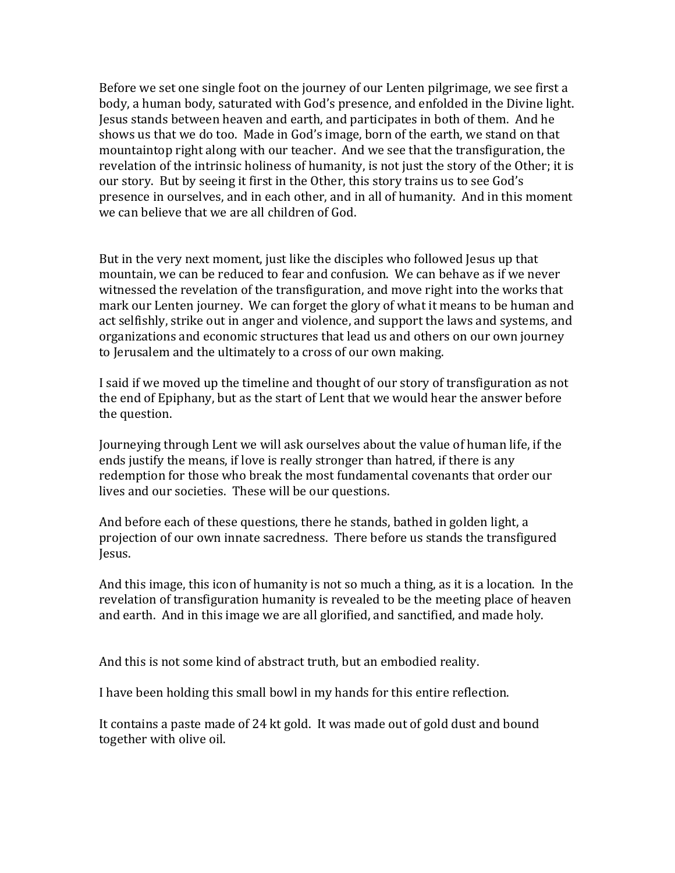Before we set one single foot on the journey of our Lenten pilgrimage, we see first a body, a human body, saturated with God's presence, and enfolded in the Divine light. Jesus stands between heaven and earth, and participates in both of them. And he shows us that we do too. Made in God's image, born of the earth, we stand on that mountaintop right along with our teacher. And we see that the transfiguration, the revelation of the intrinsic holiness of humanity, is not just the story of the Other; it is our story. But by seeing it first in the Other, this story trains us to see God's presence in ourselves, and in each other, and in all of humanity. And in this moment we can believe that we are all children of God.

But in the very next moment, just like the disciples who followed Jesus up that mountain, we can be reduced to fear and confusion. We can behave as if we never witnessed the revelation of the transfiguration, and move right into the works that mark our Lenten journey. We can forget the glory of what it means to be human and act selfishly, strike out in anger and violence, and support the laws and systems, and organizations and economic structures that lead us and others on our own journey to Jerusalem and the ultimately to a cross of our own making.

I said if we moved up the timeline and thought of our story of transfiguration as not the end of Epiphany, but as the start of Lent that we would hear the answer before the question.

Journeying through Lent we will ask ourselves about the value of human life, if the ends justify the means, if love is really stronger than hatred, if there is any redemption for those who break the most fundamental covenants that order our lives and our societies. These will be our questions.

And before each of these questions, there he stands, bathed in golden light, a projection of our own innate sacredness. There before us stands the transfigured Jesus.

And this image, this icon of humanity is not so much a thing, as it is a location. In the revelation of transfiguration humanity is revealed to be the meeting place of heaven and earth. And in this image we are all glorified, and sanctified, and made holy.

And this is not some kind of abstract truth, but an embodied reality.

I have been holding this small bowl in my hands for this entire reflection.

It contains a paste made of 24 kt gold. It was made out of gold dust and bound together with olive oil.